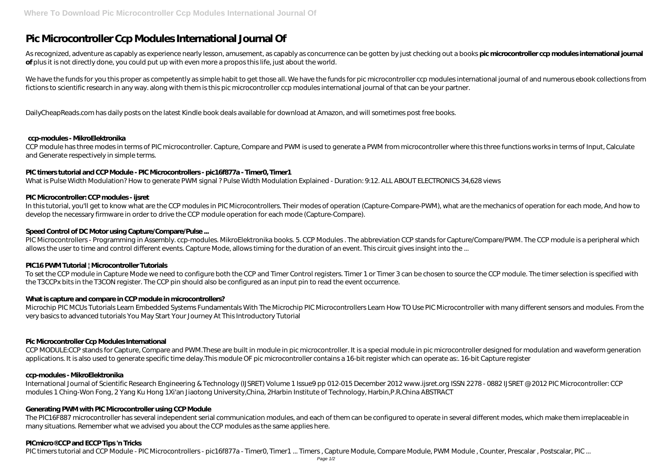# **Pic Microcontroller Ccp Modules International Journal Of**

As recognized, adventure as capably as experience nearly lesson, amusement, as capably as concurrence can be gotten by just checking out a books **pic microcontroller ccp modules international journal of** plus it is not directly done, you could put up with even more a propos this life, just about the world.

We have the funds for you this proper as competently as simple habit to get those all. We have the funds for pic microcontroller ccp modules international journal of and numerous ebook collections from fictions to scientific research in any way. along with them is this pic microcontroller ccp modules international journal of that can be your partner.

DailyCheapReads.com has daily posts on the latest Kindle book deals available for download at Amazon, and will sometimes post free books.

#### **ccp-modules - MikroElektronika**

CCP module has three modes in terms of PIC microcontroller. Capture, Compare and PWM is used to generate a PWM from microcontroller where this three functions works in terms of Input, Calculate and Generate respectively in simple terms.

PIC Microcontrollers - Programming in Assembly. ccp-modules. MikroElektronika books. 5. CCP Modules. The abbreviation CCP stands for Capture/Compare/PWM. The CCP module is a peripheral which allows the user to time and control different events. Capture Mode, allows timing for the duration of an event. This circuit gives insight into the ...

### **PIC timers tutorial and CCP Module - PIC Microcontrollers - pic16f877a - Timer0, Timer1**

To set the CCP module in Capture Mode we need to configure both the CCP and Timer Control registers. Timer 1 or Timer 3 can be chosen to source the CCP module. The timer selection is specified with the T3CCPx bits in the T3CON register. The CCP pin should also be configured as an input pin to read the event occurrence.

What is Pulse Width Modulation? How to generate PWM signal ? Pulse Width Modulation Explained - Duration: 9:12. ALL ABOUT ELECTRONICS 34,628 views

#### **PIC Microcontroller: CCP modules - ijsret**

In this tutorial, you'll get to know what are the CCP modules in PIC Microcontrollers. Their modes of operation (Capture-Compare-PWM), what are the mechanics of operation for each mode, And how to develop the necessary firmware in order to drive the CCP module operation for each mode (Capture-Compare).

CCP MODULE:CCP stands for Capture, Compare and PWM.These are built in module in pic microcontroller. It is a special module in pic microcontroller designed for modulation and waveform generation applications. It is also used to generate specific time delay.This module OF pic microcontroller contains a 16-bit register which can operate as:. 16-bit Capture register

#### **Speed Control of DC Motor using Capture/Compare/Pulse ...**

#### **PIC16 PWM Tutorial | Microcontroller Tutorials**

#### **What is capture and compare in CCP module in microcontrollers?**

Microchip PIC MCUs Tutorials Learn Embedded Systems Fundamentals With The Microchip PIC Microcontrollers Learn How TO Use PIC Microcontroller with many different sensors and modules. From the very basics to advanced tutorials You May Start Your Journey At This Introductory Tutorial

#### **Pic Microcontroller Ccp Modules International**

#### **ccp-modules - MikroElektronika**

International Journal of Scientific Research Engineering & Technology (IJSRET) Volume 1 Issue9 pp 012-015 December 2012 www.ijsret.org ISSN 2278 - 0882 IJSRET @ 2012 PIC Microcontroller: CCP modules 1 Ching-Won Fong, 2 Yang Ku Hong 1Xi'an Jiaotong University,China, 2Harbin Institute of Technology, Harbin,P.R.China ABSTRACT

#### **Generating PWM with PIC Microcontroller using CCP Module**

The PIC16F887 microcontroller has several independent serial communication modules, and each of them can be configured to operate in several different modes, which make them irreplaceable in many situations. Remember what we advised you about the CCP modules as the same applies here.

#### **PICmicro® CCP and ECCP Tips 'n Tricks**

PIC timers tutorial and CCP Module - PIC Microcontrollers - pic16f877a - Timer0, Timer1 ... Timers, Capture Module, Compare Module, PWM Module, Counter, Prescalar, Postscalar, PIC ...